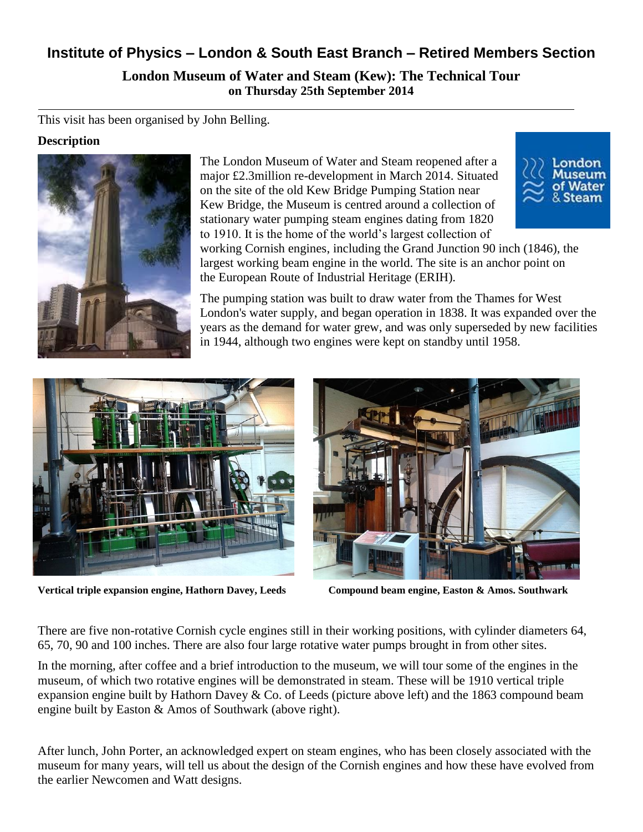# **Institute of Physics – London & South East Branch – Retired Members Section**

**London Museum of Water and Steam (Kew): The Technical Tour on Thursday 25th September 2014**

This visit has been organised by John Belling.

#### **Description**



The London Museum of Water and Steam reopened after a major £2.3million re-development in March 2014. Situated on the site of the old Kew Bridge Pumping Station near [Kew Bridge,](http://en.wikipedia.org/wiki/Kew_Bridge) the Museum is centred around a collection of stationary water pumping [steam engines](http://en.wikipedia.org/wiki/Steam_engine) dating from 1820 to 1910. It is the home of the world's largest collection of



working [Cornish engines,](http://en.wikipedia.org/wiki/Cornish_engine) including the Grand Junction 90 inch (1846), the largest working beam engine in the world. The site is an anchor point on the [European Route of Industrial Heritage](http://en.wikipedia.org/wiki/European_Route_of_Industrial_Heritage) (ERIH).

The pumping station was built to draw water from the Thames for West London's water supply, and began operation in 1838. It was expanded over the years as the demand for water grew, and was only superseded by new facilities in 1944, although two engines were kept on standby until 1958.



**Vertical triple expansion engine, Hathorn Davey, Leeds Compound beam engine, Easton & Amos. Southwark**



There are five non-rotative Cornish cycle engines still in their working positions, with cylinder diameters 64, 65, 70, 90 and 100 inches. There are also four large rotative water pumps brought in from other sites.

In the morning, after coffee and a brief introduction to the museum, we will tour some of the engines in the museum, of which two rotative engines will be demonstrated in steam. These will be 1910 vertical triple expansion engine built by Hathorn Davey & Co. of Leeds (picture above left) and the 1863 compound beam engine built by Easton & Amos of Southwark (above right).

After lunch, John Porter, an acknowledged expert on steam engines, who has been closely associated with the museum for many years, will tell us about the design of the Cornish engines and how these have evolved from the earlier Newcomen and Watt designs.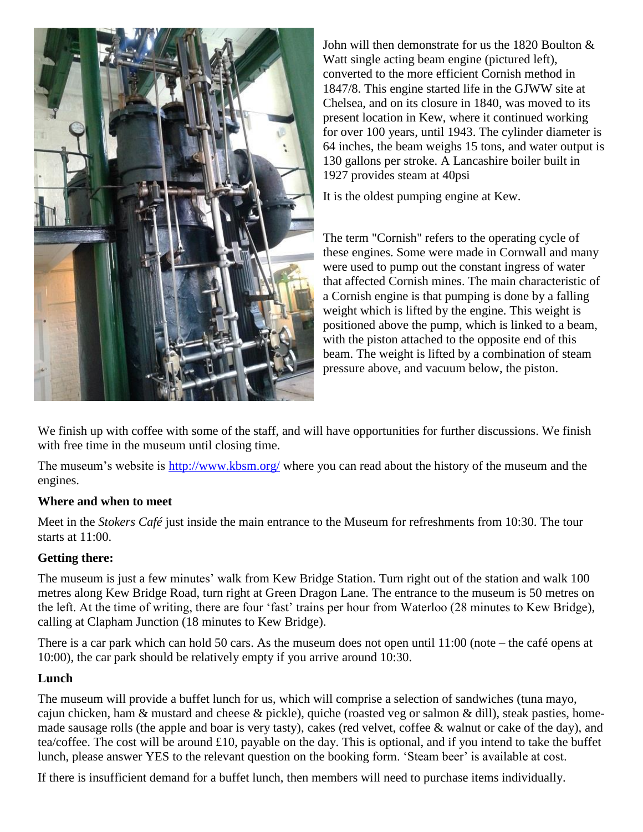

John will then demonstrate for us the 1820 Boulton & Watt single acting beam engine (pictured left), converted to the more efficient Cornish method in 1847/8. This engine started life in the GJWW site at Chelsea, and on its closure in 1840, was moved to its present location in Kew, where it continued working for over 100 years, until 1943. The cylinder diameter is 64 inches, the beam weighs 15 tons, and water output is 130 gallons per stroke. A Lancashire boiler built in 1927 provides steam at 40psi

It is the oldest pumping engine at Kew.

The term "Cornish" refers to the operating cycle of these engines. Some were made in Cornwall and many were used to pump out the constant ingress of water that affected Cornish mines. The main characteristic of a Cornish engine is that pumping is done by a falling weight which is lifted by the engine. This weight is positioned above the pump, which is linked to a beam, with the piston attached to the opposite end of this beam. The weight is lifted by a combination of steam pressure above, and vacuum below, the piston.

We finish up with coffee with some of the staff, and will have opportunities for further discussions. We finish with free time in the museum until closing time.

The museum's website is<http://www.kbsm.org/> where you can read about the history of the museum and the engines.

### **Where and when to meet**

Meet in the *Stokers Café* just inside the main entrance to the Museum for refreshments from 10:30. The tour starts at 11:00.

### **Getting there:**

The museum is just a few minutes' walk from Kew Bridge Station. Turn right out of the station and walk 100 metres along Kew Bridge Road, turn right at Green Dragon Lane. The entrance to the museum is 50 metres on the left. At the time of writing, there are four 'fast' trains per hour from Waterloo (28 minutes to Kew Bridge), calling at Clapham Junction (18 minutes to Kew Bridge).

There is a car park which can hold 50 cars. As the museum does not open until 11:00 (note – the café opens at 10:00), the car park should be relatively empty if you arrive around 10:30.

### **Lunch**

The museum will provide a buffet lunch for us, which will comprise a selection of sandwiches (tuna mayo, cajun chicken, ham & mustard and cheese & pickle), quiche (roasted veg or salmon & dill), steak pasties, homemade sausage rolls (the apple and boar is very tasty), cakes (red velvet, coffee & walnut or cake of the day), and tea/coffee. The cost will be around £10, payable on the day. This is optional, and if you intend to take the buffet lunch, please answer YES to the relevant question on the booking form. 'Steam beer' is available at cost.

If there is insufficient demand for a buffet lunch, then members will need to purchase items individually.